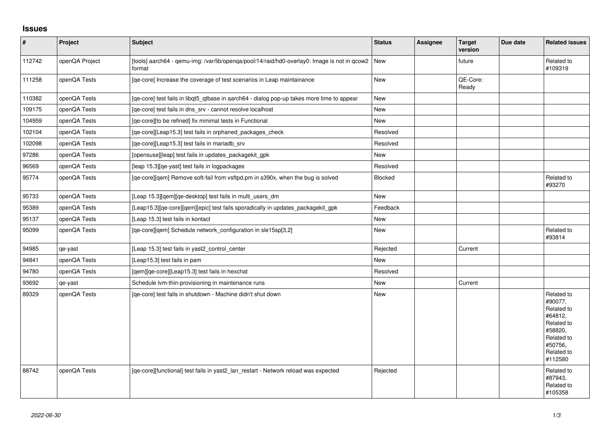## **Issues**

| $\vert$ # | Project        | <b>Subject</b>                                                                                         | <b>Status</b> | <b>Assignee</b> | <b>Target</b><br>version | Due date | <b>Related issues</b>                                                                                                     |
|-----------|----------------|--------------------------------------------------------------------------------------------------------|---------------|-----------------|--------------------------|----------|---------------------------------------------------------------------------------------------------------------------------|
| 112742    | openQA Project | [tools] aarch64 - qemu-img: /var/lib/openqa/pool/14/raid/hd0-overlay0: Image is not in qcow2<br>format | <b>New</b>    |                 | future                   |          | Related to<br>#109319                                                                                                     |
| 111258    | openQA Tests   | [qe-core] Increase the coverage of test scenarios in Leap maintainance                                 | New           |                 | QE-Core:<br>Ready        |          |                                                                                                                           |
| 110382    | openQA Tests   | [qe-core] test fails in libqt5_qtbase in aarch64 - dialog pop-up takes more time to appear             | <b>New</b>    |                 |                          |          |                                                                                                                           |
| 109175    | openQA Tests   | [qe-core] test fails in dns_srv - cannot resolve localhost                                             | New           |                 |                          |          |                                                                                                                           |
| 104959    | openQA Tests   | [qe-core][to be refined] fix minimal tests in Functional                                               | <b>New</b>    |                 |                          |          |                                                                                                                           |
| 102104    | openQA Tests   | [qe-core][Leap15.3] test fails in orphaned_packages_check                                              | Resolved      |                 |                          |          |                                                                                                                           |
| 102098    | openQA Tests   | [qe-core][Leap15.3] test fails in mariadb_srv                                                          | Resolved      |                 |                          |          |                                                                                                                           |
| 97286     | openQA Tests   | [opensuse][leap] test fails in updates_packagekit_gpk                                                  | <b>New</b>    |                 |                          |          |                                                                                                                           |
| 96569     | openQA Tests   | [leap 15.3][qe-yast] test fails in logpackages                                                         | Resolved      |                 |                          |          |                                                                                                                           |
| 95774     | openQA Tests   | [qe-core][qem] Remove soft-fail from vsftpd.pm in s390x, when the bug is solved                        | Blocked       |                 |                          |          | Related to<br>#93270                                                                                                      |
| 95733     | openQA Tests   | [Leap 15.3] [gem] [ge-desktop] test fails in multi users dm                                            | <b>New</b>    |                 |                          |          |                                                                                                                           |
| 95389     | openQA Tests   | [Leap15.3][qe-core][qem][epic] test fails sporadically in updates_packagekit_gpk                       | Feedback      |                 |                          |          |                                                                                                                           |
| 95137     | openQA Tests   | [Leap 15.3] test fails in kontact                                                                      | <b>New</b>    |                 |                          |          |                                                                                                                           |
| 95099     | openQA Tests   | [ge-core][gem] Schedule network configuration in sle15sp[3,2]                                          | New           |                 |                          |          | Related to<br>#93814                                                                                                      |
| 94985     | qe-yast        | [Leap 15.3] test fails in yast2_control_center                                                         | Rejected      |                 | Current                  |          |                                                                                                                           |
| 94841     | openQA Tests   | [Leap15.3] test fails in pam                                                                           | <b>New</b>    |                 |                          |          |                                                                                                                           |
| 94780     | openQA Tests   | [qem][qe-core][Leap15.3] test fails in hexchat                                                         | Resolved      |                 |                          |          |                                                                                                                           |
| 93692     | qe-yast        | Schedule Ivm-thin-provisioning in maintenance runs                                                     | <b>New</b>    |                 | Current                  |          |                                                                                                                           |
| 89329     | openQA Tests   | [qe-core] test fails in shutdown - Machine didn't shut down                                            | New           |                 |                          |          | Related to<br>#90077.<br>Related to<br>#64812,<br>Related to<br>#58820,<br>Related to<br>#50756,<br>Related to<br>#112580 |
| 88742     | openQA Tests   | [qe-core][functional] test fails in yast2_lan_restart - Network reload was expected                    | Rejected      |                 |                          |          | Related to<br>#87943,<br>Related to<br>#105358                                                                            |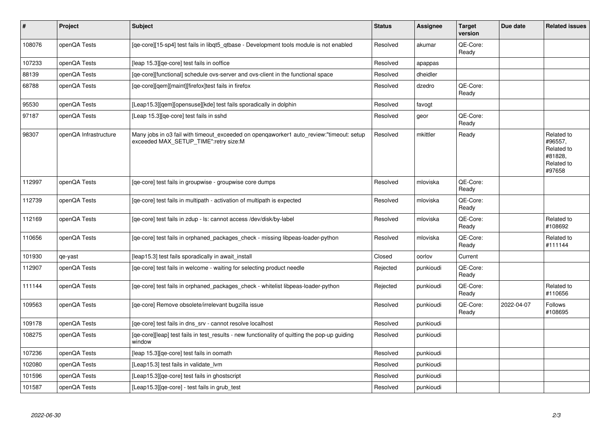| $\pmb{\#}$ | Project               | <b>Subject</b>                                                                                                                   | <b>Status</b> | Assignee  | <b>Target</b><br>version | Due date   | <b>Related issues</b>                                                  |
|------------|-----------------------|----------------------------------------------------------------------------------------------------------------------------------|---------------|-----------|--------------------------|------------|------------------------------------------------------------------------|
| 108076     | openQA Tests          | [qe-core][15-sp4] test fails in libqt5_qtbase - Development tools module is not enabled                                          | Resolved      | akumar    | QE-Core:<br>Ready        |            |                                                                        |
| 107233     | openQA Tests          | [leap 15.3][ge-core] test fails in ooffice                                                                                       | Resolved      | apappas   |                          |            |                                                                        |
| 88139      | openQA Tests          | [ge-core][functional] schedule ovs-server and ovs-client in the functional space                                                 | Resolved      | dheidler  |                          |            |                                                                        |
| 68788      | openQA Tests          | [ge-core][gem][maint][firefox]test fails in firefox                                                                              | Resolved      | dzedro    | QE-Core:<br>Ready        |            |                                                                        |
| 95530      | openQA Tests          | [Leap15.3][qem][opensuse][kde] test fails sporadically in dolphin                                                                | Resolved      | favogt    |                          |            |                                                                        |
| 97187      | openQA Tests          | [Leap 15.3][ge-core] test fails in sshd                                                                                          | Resolved      | geor      | QE-Core:<br>Ready        |            |                                                                        |
| 98307      | openQA Infrastructure | Many jobs in o3 fail with timeout_exceeded on openqaworker1 auto_review:"timeout: setup<br>exceeded MAX_SETUP_TIME":retry size:M | Resolved      | mkittler  | Ready                    |            | Related to<br>#96557,<br>Related to<br>#81828,<br>Related to<br>#97658 |
| 112997     | openQA Tests          | [ge-core] test fails in groupwise - groupwise core dumps                                                                         | Resolved      | mloviska  | QE-Core:<br>Ready        |            |                                                                        |
| 112739     | openQA Tests          | [qe-core] test fails in multipath - activation of multipath is expected                                                          | Resolved      | mloviska  | QE-Core:<br>Ready        |            |                                                                        |
| 112169     | openQA Tests          | [qe-core] test fails in zdup - ls: cannot access /dev/disk/by-label                                                              | Resolved      | mloviska  | QE-Core:<br>Ready        |            | Related to<br>#108692                                                  |
| 110656     | openQA Tests          | [ge-core] test fails in orphaned packages check - missing libpeas-loader-python                                                  | Resolved      | mloviska  | QE-Core:<br>Ready        |            | Related to<br>#111144                                                  |
| 101930     | qe-yast               | [leap15.3] test fails sporadically in await_install                                                                              | Closed        | oorlov    | Current                  |            |                                                                        |
| 112907     | openQA Tests          | [ge-core] test fails in welcome - waiting for selecting product needle                                                           | Rejected      | punkioudi | QE-Core:<br>Ready        |            |                                                                        |
| 111144     | openQA Tests          | [qe-core] test fails in orphaned_packages_check - whitelist libpeas-loader-python                                                | Rejected      | punkioudi | QE-Core:<br>Ready        |            | Related to<br>#110656                                                  |
| 109563     | openQA Tests          | [ge-core] Remove obsolete/irrelevant bugzilla issue                                                                              | Resolved      | punkioudi | QE-Core:<br>Ready        | 2022-04-07 | Follows<br>#108695                                                     |
| 109178     | openQA Tests          | [ge-core] test fails in dns srv - cannot resolve localhost                                                                       | Resolved      | punkioudi |                          |            |                                                                        |
| 108275     | openQA Tests          | [qe-core][leap] test fails in test_results - new functionality of quitting the pop-up guiding<br>window                          | Resolved      | punkioudi |                          |            |                                                                        |
| 107236     | openQA Tests          | leap 15.3][ge-core] test fails in oomath                                                                                         | Resolved      | punkioudi |                          |            |                                                                        |
| 102080     | openQA Tests          | [Leap15.3] test fails in validate lvm                                                                                            | Resolved      | punkioudi |                          |            |                                                                        |
| 101596     | openQA Tests          | [Leap15.3][qe-core] test fails in ghostscript                                                                                    | Resolved      | punkioudi |                          |            |                                                                        |
| 101587     | openQA Tests          | [Leap15.3][qe-core] - test fails in grub test                                                                                    | Resolved      | punkioudi |                          |            |                                                                        |